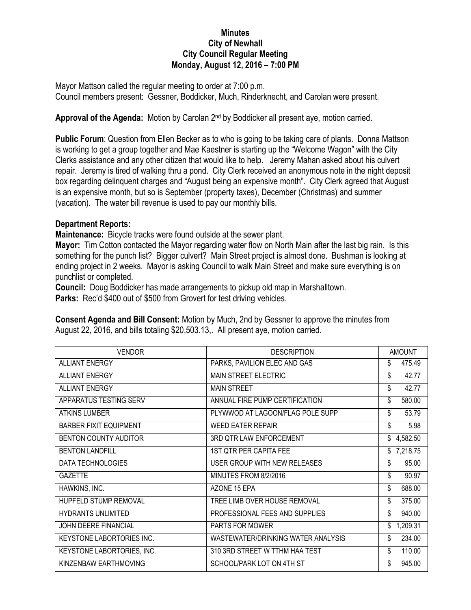## **Minutes City of Newhall City Council Regular Meeting Monday, August 12, 2016 – 7:00 PM**

Mayor Mattson called the regular meeting to order at 7:00 p.m. Council members present: Gessner, Boddicker, Much, Rinderknecht, and Carolan were present.

Approval of the Agenda: Motion by Carolan 2<sup>nd</sup> by Boddicker all present aye, motion carried.

**Public Forum**: Question from Ellen Becker as to who is going to be taking care of plants. Donna Mattson is working to get a group together and Mae Kaestner is starting up the "Welcome Wagon" with the City Clerks assistance and any other citizen that would like to help. Jeremy Mahan asked about his culvert repair. Jeremy is tired of walking thru a pond. City Clerk received an anonymous note in the night deposit box regarding delinquent charges and "August being an expensive month". City Clerk agreed that August is an expensive month, but so is September (property taxes), December (Christmas) and summer (vacation). The water bill revenue is used to pay our monthly bills.

## **Department Reports:**

**Maintenance:** Bicycle tracks were found outside at the sewer plant.

**Mayor:** Tim Cotton contacted the Mayor regarding water flow on North Main after the last big rain. Is this something for the punch list? Bigger culvert? Main Street project is almost done. Bushman is looking at ending project in 2 weeks. Mayor is asking Council to walk Main Street and make sure everything is on punchlist or completed.

**Council:** Doug Boddicker has made arrangements to pickup old map in Marshalltown.

Parks: Rec'd \$400 out of \$500 from Grovert for test driving vehicles.

**Consent Agenda and Bill Consent:** Motion by Much, 2nd by Gessner to approve the minutes from August 22, 2016, and bills totaling \$20,503.13,. All present aye, motion carried.

| <b>VENDOR</b>                 | <b>DESCRIPTION</b>                 | <b>AMOUNT</b>  |
|-------------------------------|------------------------------------|----------------|
| <b>ALLIANT ENERGY</b>         | PARKS, PAVILION ELEC AND GAS       | \$<br>475.49   |
| <b>ALLIANT ENERGY</b>         | <b>MAIN STREET ELECTRIC</b>        | 42.77<br>\$    |
| <b>ALLIANT ENERGY</b>         | <b>MAIN STREET</b>                 | 42.77<br>\$    |
| APPARATUS TESTING SERV        | ANNUAL FIRE PUMP CERTIFICATION     | \$<br>580.00   |
| <b>ATKINS LUMBER</b>          | PLYWWOD AT LAGOON/FLAG POLE SUPP   | \$<br>53.79    |
| <b>BARBER FIXIT EQUIPMENT</b> | <b>WEED EATER REPAIR</b>           | \$<br>5.98     |
| <b>BENTON COUNTY AUDITOR</b>  | 3RD QTR LAW ENFORCEMENT            | \$<br>4,582.50 |
| <b>BENTON LANDFILL</b>        | 1ST QTR PER CAPITA FEE             | \$7,218.75     |
| DATA TECHNOLOGIES             | USER GROUP WITH NEW RELEASES       | \$<br>95.00    |
| <b>GAZETTE</b>                | MINUTES FROM 8/2/2016              | \$<br>90.97    |
| HAWKINS, INC.                 | AZONE 15 EPA                       | \$<br>688.00   |
| <b>HUPFELD STUMP REMOVAL</b>  | TREE LIMB OVER HOUSE REMOVAL       | \$<br>375.00   |
| <b>HYDRANTS UNLIMITED</b>     | PROFESSIONAL FEES AND SUPPLIES     | 940.00<br>\$   |
| JOHN DEERE FINANCIAL          | PARTS FOR MOWER                    | 1,209.31<br>\$ |
| KEYSTONE LABORTORIES INC.     | WASTEWATER/DRINKING WATER ANALYSIS | 234.00<br>\$   |
| KEYSTONE LABORTORIES, INC.    | 310 3RD STREET W TTHM HAA TEST     | \$<br>110.00   |
| KINZENBAW EARTHMOVING         | SCHOOL/PARK LOT ON 4TH ST          | \$<br>945.00   |